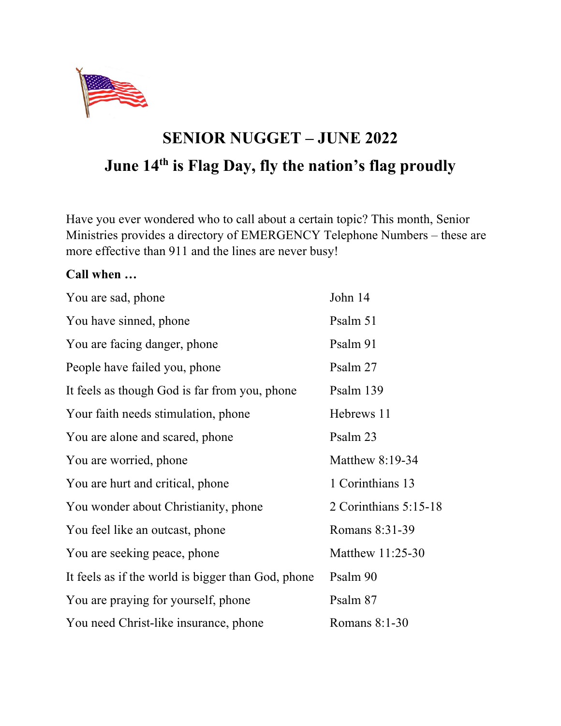

## **SENIOR NUGGET – JUNE 2022 June 14th is Flag Day, fly the nation's flag proudly**

Have you ever wondered who to call about a certain topic? This month, Senior Ministries provides a directory of EMERGENCY Telephone Numbers – these are more effective than 911 and the lines are never busy!

## **Call when …**

| You are sad, phone                                 | John 14               |
|----------------------------------------------------|-----------------------|
| You have sinned, phone                             | Psalm 51              |
| You are facing danger, phone                       | Psalm 91              |
| People have failed you, phone                      | Psalm 27              |
| It feels as though God is far from you, phone      | Psalm 139             |
| Your faith needs stimulation, phone                | Hebrews 11            |
| You are alone and scared, phone                    | Psalm 23              |
| You are worried, phone                             | Matthew $8:19-34$     |
| You are hurt and critical, phone                   | 1 Corinthians 13      |
| You wonder about Christianity, phone               | 2 Corinthians 5:15-18 |
| You feel like an outcast, phone                    | Romans 8:31-39        |
| You are seeking peace, phone                       | Matthew 11:25-30      |
| It feels as if the world is bigger than God, phone | Psalm 90              |
| You are praying for yourself, phone                | Psalm 87              |
| You need Christ-like insurance, phone              | Romans $8:1-30$       |